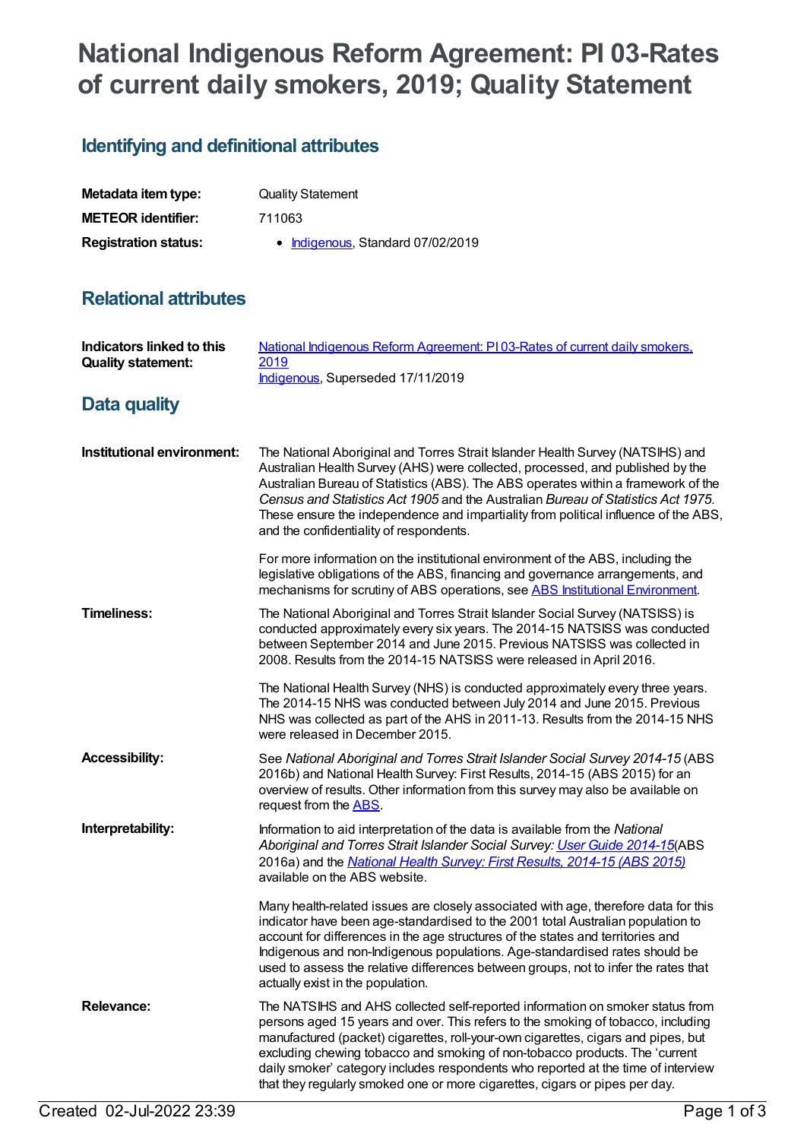# **National Indigenous Reform Agreement: PI 03-Rates of current daily smokers, 2019; Quality Statement**

## **Identifying and definitional attributes**

| Metadata item type:         | <b>Quality Statement</b>          |
|-----------------------------|-----------------------------------|
| <b>METEOR identifier:</b>   | 711063                            |
| <b>Registration status:</b> | • Indigenous, Standard 07/02/2019 |

#### **Relational attributes**

| <b>Indicators linked to this</b><br><b>Quality statement:</b> | National Indigenous Reform Agreement: P103-Rates of current daily smokers,<br>2019<br>Indigenous, Superseded 17/11/2019                                                                                                                                                                                                                                                                                                                                                                                   |
|---------------------------------------------------------------|-----------------------------------------------------------------------------------------------------------------------------------------------------------------------------------------------------------------------------------------------------------------------------------------------------------------------------------------------------------------------------------------------------------------------------------------------------------------------------------------------------------|
| Data quality                                                  |                                                                                                                                                                                                                                                                                                                                                                                                                                                                                                           |
| Institutional environment:                                    | The National Aboriginal and Torres Strait Islander Health Survey (NATSIHS) and<br>Australian Health Survey (AHS) were collected, processed, and published by the<br>Australian Bureau of Statistics (ABS). The ABS operates within a framework of the<br>Census and Statistics Act 1905 and the Australian Bureau of Statistics Act 1975.<br>These ensure the independence and impartiality from political influence of the ABS,<br>and the confidentiality of respondents.                               |
|                                                               | For more information on the institutional environment of the ABS, including the<br>legislative obligations of the ABS, financing and governance arrangements, and<br>mechanisms for scrutiny of ABS operations, see ABS Institutional Environment.                                                                                                                                                                                                                                                        |
| <b>Timeliness:</b>                                            | The National Aboriginal and Torres Strait Islander Social Survey (NATSISS) is<br>conducted approximately every six years. The 2014-15 NATSISS was conducted<br>between September 2014 and June 2015. Previous NATSISS was collected in<br>2008. Results from the 2014-15 NATSISS were released in April 2016.                                                                                                                                                                                             |
|                                                               | The National Health Survey (NHS) is conducted approximately every three years.<br>The 2014-15 NHS was conducted between July 2014 and June 2015. Previous<br>NHS was collected as part of the AHS in 2011-13. Results from the 2014-15 NHS<br>were released in December 2015.                                                                                                                                                                                                                             |
| <b>Accessibility:</b>                                         | See National Aboriginal and Torres Strait Islander Social Survey 2014-15 (ABS<br>2016b) and National Health Survey: First Results, 2014-15 (ABS 2015) for an<br>overview of results. Other information from this survey may also be available on<br>request from the ABS.                                                                                                                                                                                                                                 |
| Interpretability:                                             | Information to aid interpretation of the data is available from the National<br>Aboriginal and Torres Strait Islander Social Survey: User Guide 2014-15(ABS<br>2016a) and the National Health Survey: First Results, 2014-15 (ABS 2015)<br>available on the ABS website.                                                                                                                                                                                                                                  |
|                                                               | Many health-related issues are closely associated with age, therefore data for this<br>indicator have been age-standardised to the 2001 total Australian population to<br>account for differences in the age structures of the states and territories and<br>Indigenous and non-Indigenous populations. Age-standardised rates should be<br>used to assess the relative differences between groups, not to infer the rates that<br>actually exist in the population.                                      |
| <b>Relevance:</b>                                             | The NATSIHS and AHS collected self-reported information on smoker status from<br>persons aged 15 years and over. This refers to the smoking of tobacco, including<br>manufactured (packet) cigarettes, roll-your-own cigarettes, cigars and pipes, but<br>excluding chewing tobacco and smoking of non-tobacco products. The 'current<br>daily smoker' category includes respondents who reported at the time of interview<br>that they regularly smoked one or more cigarettes, cigars or pipes per day. |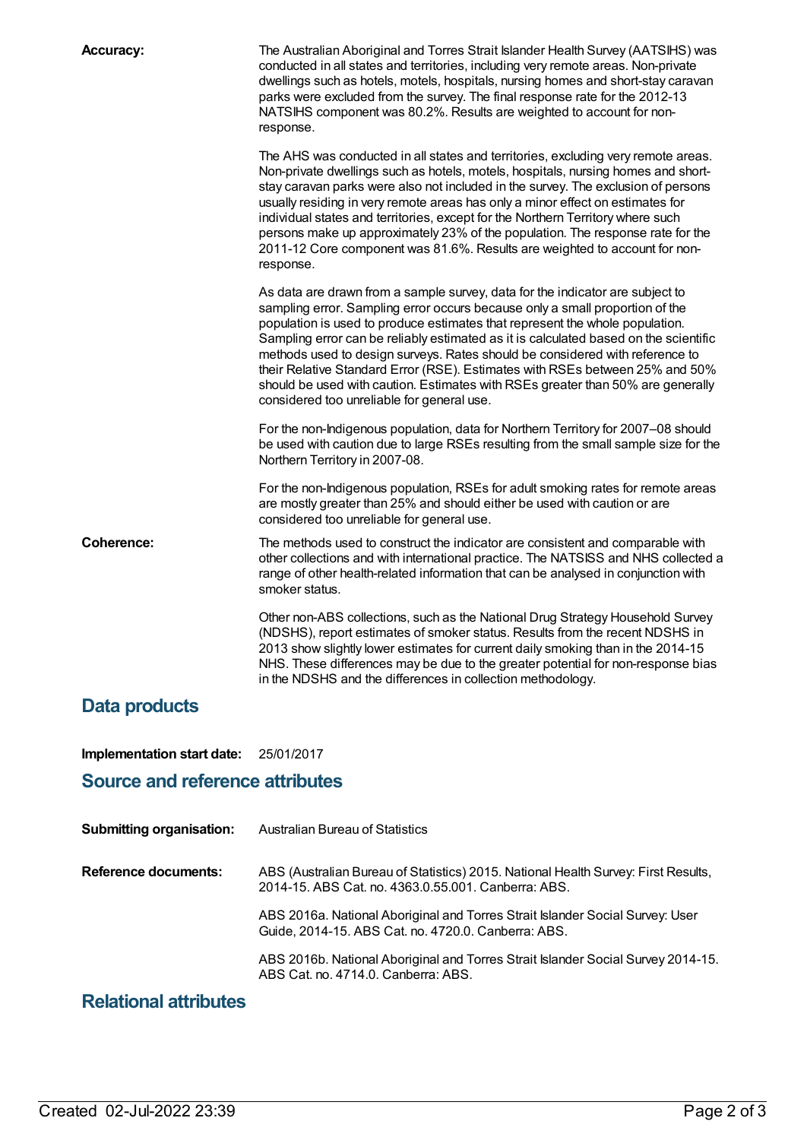| <b>Accuracy:</b> | The Australian Aboriginal and Torres Strait Islander Health Survey (AATSIHS) was<br>conducted in all states and territories, including very remote areas. Non-private<br>dwellings such as hotels, motels, hospitals, nursing homes and short-stay caravan<br>parks were excluded from the survey. The final response rate for the 2012-13<br>NATSIHS component was 80.2%. Results are weighted to account for non-<br>response.                                                                                                                                                                                                       |
|------------------|----------------------------------------------------------------------------------------------------------------------------------------------------------------------------------------------------------------------------------------------------------------------------------------------------------------------------------------------------------------------------------------------------------------------------------------------------------------------------------------------------------------------------------------------------------------------------------------------------------------------------------------|
|                  | The AHS was conducted in all states and territories, excluding very remote areas.<br>Non-private dwellings such as hotels, motels, hospitals, nursing homes and short-<br>stay caravan parks were also not included in the survey. The exclusion of persons<br>usually residing in very remote areas has only a minor effect on estimates for<br>individual states and territories, except for the Northern Territory where such<br>persons make up approximately 23% of the population. The response rate for the<br>2011-12 Core component was 81.6%. Results are weighted to account for non-<br>response.                          |
|                  | As data are drawn from a sample survey, data for the indicator are subject to<br>sampling error. Sampling error occurs because only a small proportion of the<br>population is used to produce estimates that represent the whole population.<br>Sampling error can be reliably estimated as it is calculated based on the scientific<br>methods used to design surveys. Rates should be considered with reference to<br>their Relative Standard Error (RSE). Estimates with RSEs between 25% and 50%<br>should be used with caution. Estimates with RSEs greater than 50% are generally<br>considered too unreliable for general use. |
|                  | For the non-Indigenous population, data for Northern Territory for 2007-08 should<br>be used with caution due to large RSEs resulting from the small sample size for the<br>Northern Territory in 2007-08.                                                                                                                                                                                                                                                                                                                                                                                                                             |
|                  | For the non-Indigenous population, RSEs for adult smoking rates for remote areas<br>are mostly greater than 25% and should either be used with caution or are<br>considered too unreliable for general use.                                                                                                                                                                                                                                                                                                                                                                                                                            |
| Coherence:       | The methods used to construct the indicator are consistent and comparable with<br>other collections and with international practice. The NATSISS and NHS collected a<br>range of other health-related information that can be analysed in conjunction with<br>smoker status.                                                                                                                                                                                                                                                                                                                                                           |
|                  | Other non-ABS collections, such as the National Drug Strategy Household Survey<br>(NDSHS), report estimates of smoker status. Results from the recent NDSHS in<br>2013 show slightly lower estimates for current daily smoking than in the 2014-15<br>NHS. These differences may be due to the greater potential for non-response bias<br>in the NDSHS and the differences in collection methodology.                                                                                                                                                                                                                                  |
| Data products    |                                                                                                                                                                                                                                                                                                                                                                                                                                                                                                                                                                                                                                        |

**Implementation start date:** 25/01/2017

#### **Source and reference attributes**

| <b>Submitting organisation:</b> | <b>Australian Bureau of Statistics</b>                                                                                                    |
|---------------------------------|-------------------------------------------------------------------------------------------------------------------------------------------|
| Reference documents:            | ABS (Australian Bureau of Statistics) 2015. National Health Survey: First Results,<br>2014-15, ABS Cat. no. 4363.0.55.001, Canberra: ABS. |
|                                 | ABS 2016a. National Aboriginal and Torres Strait Islander Social Survey: User<br>Guide, 2014-15. ABS Cat. no. 4720.0. Canberra: ABS.      |
|                                 | ABS 2016b. National Aboriginal and Torres Strait Islander Social Survey 2014-15.<br>ABS Cat. no. 4714.0. Canberra: ABS.                   |

### **Relational attributes**